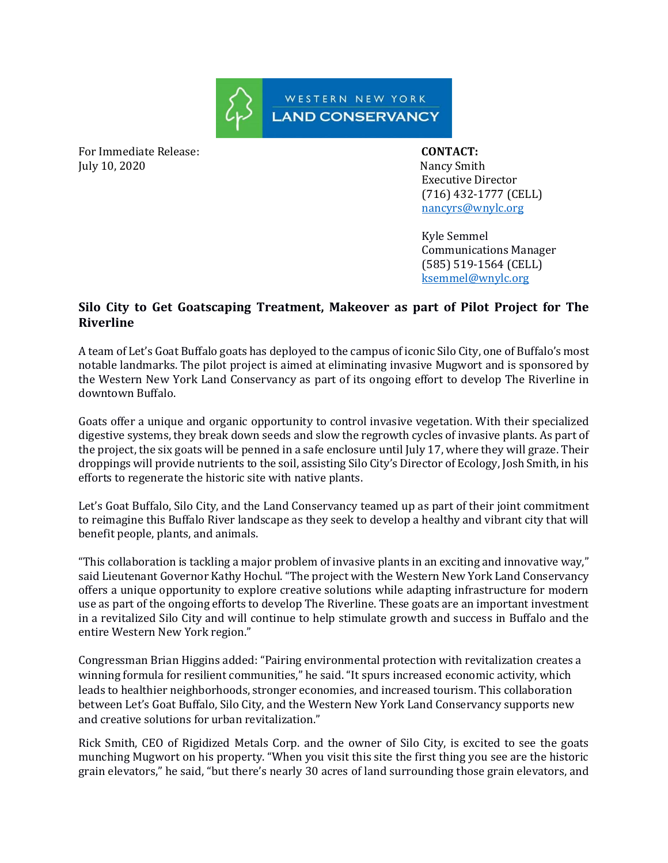

For Immediate Release: **CONTACT:**  July 10, 2020 Nancy Smith

 Executive Director (716) 432-1777 (CELL) [nancyrs@wnylc.org](mailto:nancyrs@wnylc.org)

 Kyle Semmel Communications Manager (585) 519-1564 (CELL) ksemmel@wnylc.org

## **Silo City to Get Goatscaping Treatment, Makeover as part of Pilot Project for The Riverline**

A team of Let's Goat Buffalo goats has deployed to the campus of iconic Silo City, one of Buffalo's most notable landmarks. The pilot project is aimed at eliminating invasive Mugwort and is sponsored by the Western New York Land Conservancy as part of its ongoing effort to develop The Riverline in downtown Buffalo.

Goats offer a unique and organic opportunity to control invasive vegetation. With their specialized digestive systems, they break down seeds and slow the regrowth cycles of invasive plants. As part of the project, the six goats will be penned in a safe enclosure until July 17, where they will graze. Their droppings will provide nutrients to the soil, assisting Silo City's Director of Ecology, Josh Smith, in his efforts to regenerate the historic site with native plants.

Let's Goat Buffalo, Silo City, and the Land Conservancy teamed up as part of their joint commitment to reimagine this Buffalo River landscape as they seek to develop a healthy and vibrant city that will benefit people, plants, and animals.

"This collaboration is tackling a major problem of invasive plants in an exciting and innovative way," said Lieutenant Governor Kathy Hochul. "The project with the Western New York Land Conservancy offers a unique opportunity to explore creative solutions while adapting infrastructure for modern use as part of the ongoing efforts to develop The Riverline. These goats are an important investment in a revitalized Silo City and will continue to help stimulate growth and success in Buffalo and the entire Western New York region."

Congressman Brian Higgins added: "Pairing environmental protection with revitalization creates a winning formula for resilient communities," he said. "It spurs increased economic activity, which leads to healthier neighborhoods, stronger economies, and increased tourism. This collaboration between Let's Goat Buffalo, Silo City, and the Western New York Land Conservancy supports new and creative solutions for urban revitalization."

Rick Smith, CEO of Rigidized Metals Corp. and the owner of Silo City, is excited to see the goats munching Mugwort on his property. "When you visit this site the first thing you see are the historic grain elevators," he said, "but there's nearly 30 acres of land surrounding those grain elevators, and